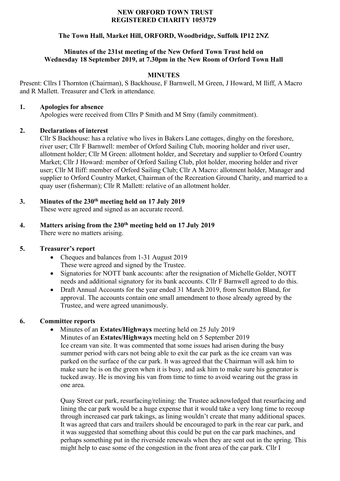#### **NEW ORFORD TOWN TRUST REGISTERED CHARITY 1053729**

# **The Town Hall, Market Hill, ORFORD, Woodbridge, Suffolk IP12 2NZ**

## **Minutes of the 231st meeting of the New Orford Town Trust held on Wednesday 18 September 2019, at 7.30pm in the New Room of Orford Town Hall**

## **MINUTES**

Present: Cllrs I Thornton (Chairman), S Backhouse, F Barnwell, M Green, J Howard, M Iliff, A Macro and R Mallett. Treasurer and Clerk in attendance.

#### **1. Apologies for absence**

Apologies were received from Cllrs P Smith and M Smy (family commitment).

## **2. Declarations of interest**

Cllr S Backhouse: has a relative who lives in Bakers Lane cottages, dinghy on the foreshore, river user; Cllr F Barnwell: member of Orford Sailing Club, mooring holder and river user, allotment holder; Cllr M Green: allotment holder, and Secretary and supplier to Orford Country Market; Cllr J Howard: member of Orford Sailing Club, plot holder, mooring holder and river user; Cllr M Iliff: member of Orford Sailing Club; Cllr A Macro: allotment holder, Manager and supplier to Orford Country Market, Chairman of the Recreation Ground Charity, and married to a quay user (fisherman); Cllr R Mallett: relative of an allotment holder.

# **3. Minutes of the 230th meeting held on 17 July 2019**

These were agreed and signed as an accurate record.

**4. Matters arising from the 230th meeting held on 17 July 2019** There were no matters arising.

#### **5. Treasurer's report**

- Cheques and balances from 1-31 August 2019 These were agreed and signed by the Trustee.
- Signatories for NOTT bank accounts: after the resignation of Michelle Golder, NOTT needs and additional signatory for its bank accounts. Cllr F Barnwell agreed to do this.
- Draft Annual Accounts for the year ended 31 March 2019, from Scrutton Bland, for approval. The accounts contain one small amendment to those already agreed by the Trustee, and were agreed unanimously.

#### **6. Committee reports**

# • Minutes of an **Estates/Highways** meeting held on 25 July 2019

Minutes of an **Estates/Highways** meeting held on 5 September 2019 Ice cream van site. It was commented that some issues had arisen during the busy summer period with cars not being able to exit the car park as the ice cream van was parked on the surface of the car park. It was agreed that the Chairman will ask him to make sure he is on the green when it is busy, and ask him to make sure his generator is tucked away. He is moving his van from time to time to avoid wearing out the grass in one area.

Quay Street car park, resurfacing/relining: the Trustee acknowledged that resurfacing and lining the car park would be a huge expense that it would take a very long time to recoup through increased car park takings, as lining wouldn't create that many additional spaces. It was agreed that cars and trailers should be encouraged to park in the rear car park, and it was suggested that something about this could be put on the car park machines, and perhaps something put in the riverside renewals when they are sent out in the spring. This might help to ease some of the congestion in the front area of the car park. Cllr I